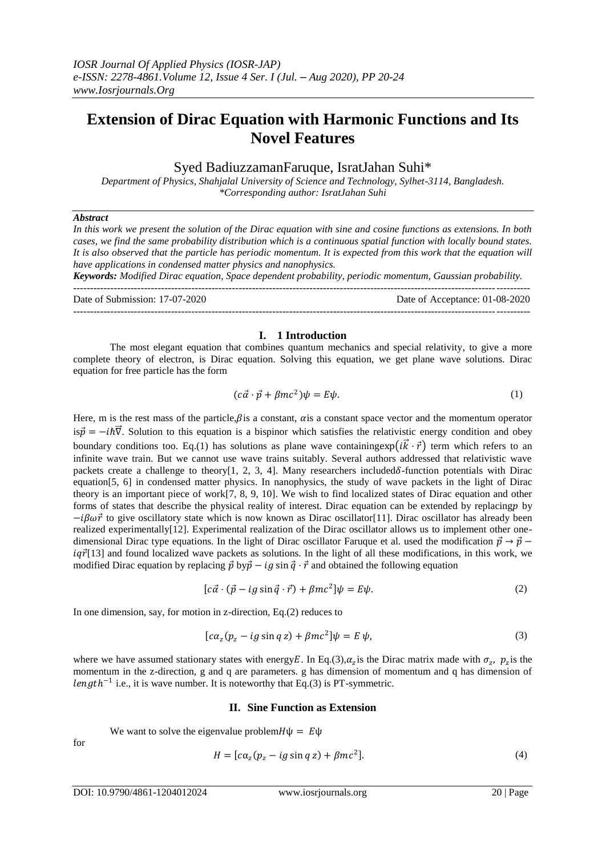# **Extension of Dirac Equation with Harmonic Functions and Its Novel Features**

# Syed BadiuzzamanFaruque, IsratJahan Suhi\*

*Department of Physics, Shahjalal University of Science and Technology, Sylhet-3114, Bangladesh. \*Corresponding author: IsratJahan Suhi*

## *Abstract*

*In this work we present the solution of the Dirac equation with sine and cosine functions as extensions. In both cases, we find the same probability distribution which is a continuous spatial function with locally bound states. It is also observed that the particle has periodic momentum. It is expected from this work that the equation will have applications in condensed matter physics and nanophysics.* 

*Keywords: Modified Dirac equation, Space dependent probability, periodic momentum, Gaussian probability.*

Date of Submission: 17-07-2020 Date of Acceptance: 01-08-2020 ---------------------------------------------------------------------------------------------------------------------------------------

#### **I. 1 Introduction**

The most elegant equation that combines quantum mechanics and special relativity, to give a more complete theory of electron, is Dirac equation. Solving this equation, we get plane wave solutions. Dirac equation for free particle has the form

$$
(c\vec{\alpha} \cdot \vec{p} + \beta mc^2)\psi = E\psi.
$$
 (1)

 $-1.1$ 

Here, m is the rest mass of the particle, $\beta$  is a constant,  $\alpha$  is a constant space vector and the momentum operator is $\vec{p} = -i\hbar \vec{v}$ . Solution to this equation is a bispinor which satisfies the relativistic energy condition and obey boundary conditions too. Eq.(1) has solutions as plane wave containing  $\exp(i\vec{k}\cdot\vec{r})$  term which refers to an infinite wave train. But we cannot use wave trains suitably. Several authors addressed that relativistic wave packets create a challenge to theory[1, 2, 3, 4]. Many researchers included $\delta$ -function potentials with Dirac equation[5, 6] in condensed matter physics. In nanophysics, the study of wave packets in the light of Dirac theory is an important piece of work[7, 8, 9, 10]. We wish to find localized states of Dirac equation and other forms of states that describe the physical reality of interest. Dirac equation can be extended by replacing p by  $-i\beta\omega\vec{r}$  to give oscillatory state which is now known as Dirac oscillator[11]. Dirac oscillator has already been realized experimentally[12]. Experimental realization of the Dirac oscillator allows us to implement other onedimensional Dirac type equations. In the light of Dirac oscillator Faruque et al. used the modification  $\vec{p} \rightarrow \vec{p}$  –  $iq\vec{r}$ [13] and found localized wave packets as solutions. In the light of all these modifications, in this work, we modified Dirac equation by replacing  $\vec{p}$  by  $\vec{p} - ig \sin \vec{q} \cdot \vec{r}$  and obtained the following equation

$$
[c\vec{a} \cdot (\vec{p} - ig\sin\vec{q} \cdot \vec{r}) + \beta mc^2]\psi = E\psi.
$$
 (2)

In one dimension, say, for motion in z-direction, Eq.(2) reduces to

$$
[c\alpha_z(p_z - ig\sin q\,z) + \beta mc^2]\psi = E\,\psi,\tag{3}
$$

where we have assumed stationary states with energy E. In Eq.(3),  $\alpha_z$  is the Dirac matrix made with  $\sigma_z$ ,  $p_z$  is the momentum in the z-direction, g and q are parameters. g has dimension of momentum and q has dimension of length<sup>-1</sup> i.e., it is wave number. It is noteworthy that Eq.(3) is PT-symmetric.

#### **II. Sine Function as Extension**

We want to solve the eigenvalue problem  $H\Psi = E\Psi$ 

$$
H = [c\alpha_z(p_z - ig\sin q\,z) + \beta mc^2].
$$
\n(4)

 $f_{\Omega}r$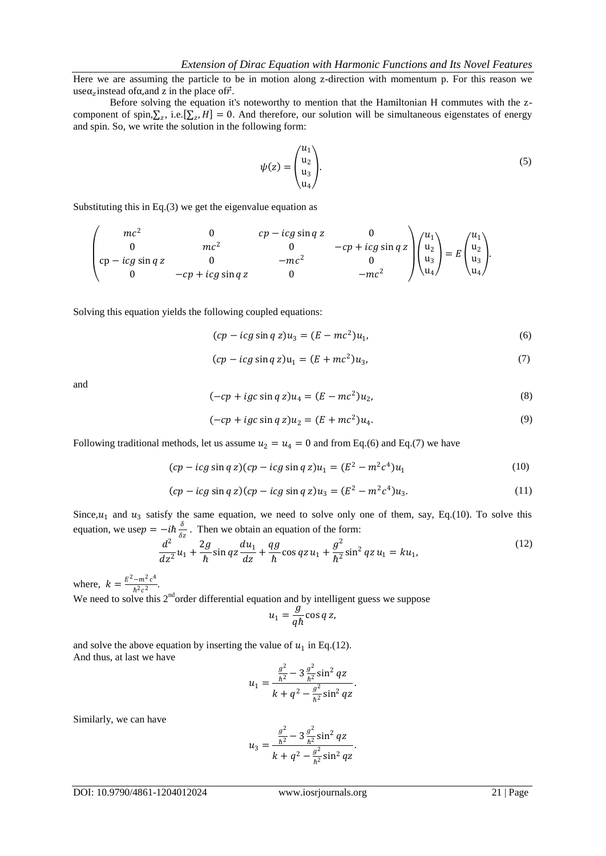Here we are assuming the particle to be in motion along z-direction with momentum p. For this reason we use $\alpha$ <sub>z</sub> instead of  $\alpha$ , and z in the place of  $\vec{r}$ .

Before solving the equation it's noteworthy to mention that the Hamiltonian H commutes with the zcomponent of spin, $\Sigma_z$ , i.e. [ $\Sigma_z$ , H] = 0. And therefore, our solution will be simultaneous eigenstates of energy and spin. So, we write the solution in the following form:

$$
\psi(z) = \begin{pmatrix} u_1 \\ u_2 \\ u_3 \\ u_4 \end{pmatrix} . \tag{5}
$$

Substituting this in Eq.(3) we get the eigenvalue equation as

$$
\begin{pmatrix}\nmc^2 & 0 & cp - icg \sin q z & 0 \\
0 & mc^2 & 0 & -cp + icg \sin q z \\
cp - icg \sin q z & 0 & -mc^2 & 0 \\
0 & -cp + icg \sin q z & 0 & -mc^2\n\end{pmatrix}\n\begin{pmatrix}\nu_1 \\
u_2 \\
u_3 \\
u_4\n\end{pmatrix} = E \begin{pmatrix}\nu_1 \\
u_2 \\
u_3 \\
u_4\n\end{pmatrix}.
$$

Solving this equation yields the following coupled equations:

$$
(cp - icg \sin q z)u_3 = (E - mc^2)u_1,\tag{6}
$$

$$
(cp - icg \sin q z)u_1 = (E + mc^2)u_3,\tag{7}
$$

and

$$
(-cp + igc \sin q z)u_4 = (E - mc^2)u_2, \tag{8}
$$

$$
(-cp + igc \sin q z)u_2 = (E + mc^2)u_4.
$$
\n(9)

Following traditional methods, let us assume  $u_2 = u_4 = 0$  and from Eq.(6) and Eq.(7) we have

$$
(cp - icg \sin q z)(cp - icg \sin q z)u_1 = (E^2 - m^2c^4)u_1
$$
 (10)

$$
(cp - icg \sin q z)(cp - icg \sin q z)u_3 = (E^2 - m^2c^4)u_3.
$$
 (11)

Since,  $u_1$  and  $u_3$  satisfy the same equation, we need to solve only one of them, say, Eq.(10). To solve this equation, we use $p = -i\hbar \frac{\delta}{\delta q}$  $\frac{\partial}{\partial z}$ . Then we obtain an equation of the form:

$$
\frac{d^2}{dz^2}u_1 + \frac{2g}{\hbar}\sin qz\frac{du_1}{dz} + \frac{qg}{\hbar}\cos qz\,u_1 + \frac{g^2}{\hbar^2}\sin^2 qz\,u_1 = ku_1,\tag{12}
$$

where,  $k = \frac{E^2 - m^2 c^4}{\hbar^2 c^2}$  $\frac{-m}{\hbar^2 c^2}$ .

We need to solve this  $2<sup>nd</sup>$  order differential equation and by intelligent guess we suppose

$$
u_1 = \frac{g}{q\hbar} \cos q z,
$$

and solve the above equation by inserting the value of  $u_1$  in Eq.(12). And thus, at last we have

$$
u_1 = \frac{\frac{g^2}{h^2} - 3\frac{g^2}{h^2}\sin^2 qz}{k + q^2 - \frac{g^2}{h^2}\sin^2 qz}.
$$

Similarly, we can have

$$
u_3 = \frac{\frac{g^2}{h^2} - 3\frac{g^2}{h^2}\sin^2 qz}{k + q^2 - \frac{g^2}{h^2}\sin^2 qz}.
$$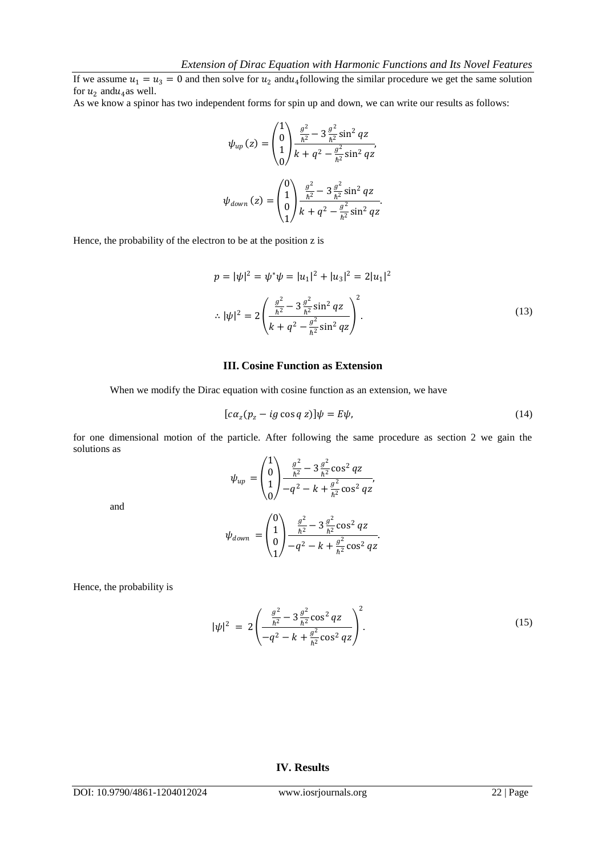If we assume  $u_1 = u_3 = 0$  and then solve for  $u_2$  and  $u_4$  following the similar procedure we get the same solution for  $u_2$  and  $u_4$  as well.

As we know a spinor has two independent forms for spin up and down, we can write our results as follows:

$$
\psi_{up}(z) = \begin{pmatrix} 1 \\ 0 \\ 1 \\ 0 \end{pmatrix} \frac{\frac{g^2}{h^2} - 3\frac{g^2}{h^2}\sin^2 qz}{k + q^2 - \frac{g^2}{h^2}\sin^2 qz},
$$

$$
\psi_{down}(z) = \begin{pmatrix} 0 \\ 1 \\ 0 \\ 1 \end{pmatrix} \frac{\frac{g^2}{h^2} - 3\frac{g^2}{h^2}\sin^2 qz}{k + q^2 - \frac{g^2}{h^2}\sin^2 qz}.
$$

Hence, the probability of the electron to be at the position z is

$$
p = |\psi|^2 = \psi^* \psi = |u_1|^2 + |u_3|^2 = 2|u_1|^2
$$
  

$$
\therefore |\psi|^2 = 2\left(\frac{\frac{g^2}{h^2} - 3\frac{g^2}{h^2}\sin^2 qz}{k + q^2 - \frac{g^2}{h^2}\sin^2 qz}\right)^2.
$$
 (13)

### **III. Cosine Function as Extension**

When we modify the Dirac equation with cosine function as an extension, we have

$$
[c\alpha_z(p_z - ig\cos q\,z)]\psi = E\psi,\tag{14}
$$

for one dimensional motion of the particle. After following the same procedure as section 2 we gain the solutions as

$$
\psi_{up} = \begin{pmatrix} 1 \\ 0 \\ 1 \\ 0 \end{pmatrix} \frac{\frac{g^2}{h^2} - 3\frac{g^2}{h^2}\cos^2{qz}}{-q^2 - k + \frac{g^2}{h^2}\cos^2{qz}},
$$

and

$$
\psi_{down} = \begin{pmatrix} 0 \\ 1 \\ 0 \\ 1 \end{pmatrix} \frac{\frac{g^2}{h^2} - 3\frac{g^2}{h^2}\cos^2{qz}}{-q^2 - k + \frac{g^2}{h^2}\cos^2{qz}}.
$$

Hence, the probability is

$$
|\psi|^2 = 2\left(\frac{\frac{g^2}{\hbar^2} - 3\frac{g^2}{\hbar^2}\cos^2 qz}{-q^2 - k + \frac{g^2}{\hbar^2}\cos^2 qz}\right)^2.
$$
 (15)

# **IV. Results**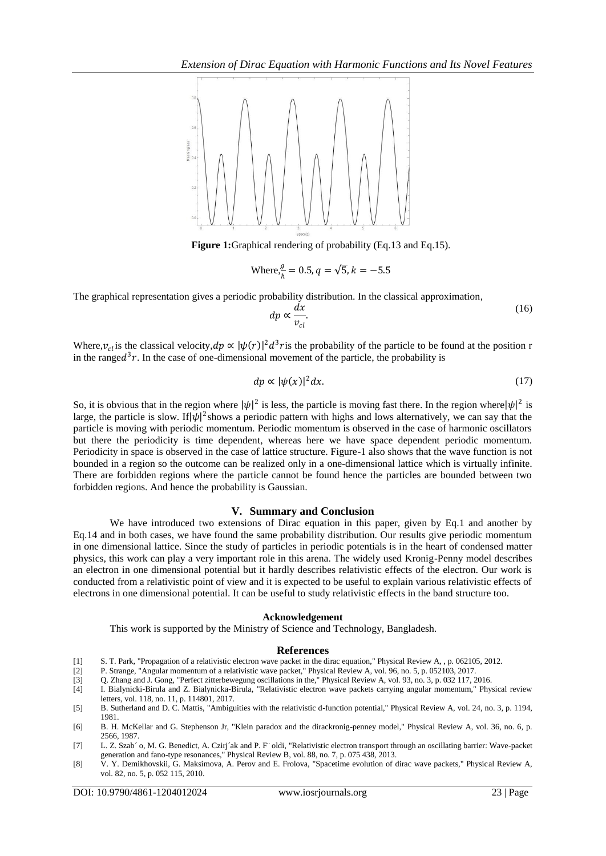

**Figure 1:**Graphical rendering of probability (Eq.13 and Eq.15).

Where, 
$$
\frac{g}{h} = 0.5
$$
,  $q = \sqrt{5}$ ,  $k = -5.5$ 

The graphical representation gives a periodic probability distribution. In the classical approximation,

$$
dp \propto \frac{dx}{v_{cl}}.\tag{16}
$$

Where,  $v_{cl}$  is the classical velocity,  $dp \propto |\psi(r)|^2 d^3 r$  is the probability of the particle to be found at the position r in the range $d^3r$ . In the case of one-dimensional movement of the particle, the probability is

$$
dp \propto |\psi(x)|^2 dx. \tag{17}
$$

So, it is obvious that in the region where  $|\psi|^2$  is less, the particle is moving fast there. In the region where  $|\psi|^2$  is large, the particle is slow. If  $|\psi|^2$  shows a periodic pattern with highs and lows alternatively, we can say that the particle is moving with periodic momentum. Periodic momentum is observed in the case of harmonic oscillators but there the periodicity is time dependent, whereas here we have space dependent periodic momentum. Periodicity in space is observed in the case of lattice structure. Figure-1 also shows that the wave function is not bounded in a region so the outcome can be realized only in a one-dimensional lattice which is virtually infinite. There are forbidden regions where the particle cannot be found hence the particles are bounded between two forbidden regions. And hence the probability is Gaussian.

#### **V. Summary and Conclusion**

We have introduced two extensions of Dirac equation in this paper, given by Eq.1 and another by Eq.14 and in both cases, we have found the same probability distribution. Our results give periodic momentum in one dimensional lattice. Since the study of particles in periodic potentials is in the heart of condensed matter physics, this work can play a very important role in this arena. The widely used Kronig-Penny model describes an electron in one dimensional potential but it hardly describes relativistic effects of the electron. Our work is conducted from a relativistic point of view and it is expected to be useful to explain various relativistic effects of electrons in one dimensional potential. It can be useful to study relativistic effects in the band structure too.

#### **Acknowledgement**

This work is supported by the Ministry of Science and Technology, Bangladesh.

## **References**

- [1] S. T. Park, "Propagation of a relativistic electron wave packet in the dirac equation," Physical Review A, , p. 062105, 2012.
- [2] P. Strange, "Angular momentum of a relativistic wave packet," Physical Review A, vol. 96, no. 5, p. 052103, 2017.
- [3] Q. Zhang and J. Gong, "Perfect zitterbewegung oscillations in the," Physical Review A, vol. 93, no. 3, p. 032 117, 2016.
- [4] I. Bialynicki-Birula and Z. Bialynicka-Birula, "Relativistic electron wave packets carrying angular momentum," Physical review letters, vol. 118, no. 11, p. 114801, 2017.
- [5] B. Sutherland and D. C. Mattis, "Ambiguities with the relativistic d-function potential," Physical Review A, vol. 24, no. 3, p. 1194, 1981.
- [6] B. H. McKellar and G. Stephenson Jr, "Klein paradox and the dirackronig-penney model," Physical Review A, vol. 36, no. 6, p. 2566, 1987.
- [7] L. Z. Szab´ o, M. G. Benedict, A. Czirj´ak and P. F¨ oldi, "Relativistic electron transport through an oscillating barrier: Wave-packet generation and fano-type resonances," Physical Review B, vol. 88, no. 7, p. 075 438, 2013.
- [8] V. Y. Demikhovskii, G. Maksimova, A. Perov and E. Frolova, "Spacetime evolution of dirac wave packets," Physical Review A, vol. 82, no. 5, p. 052 115, 2010.